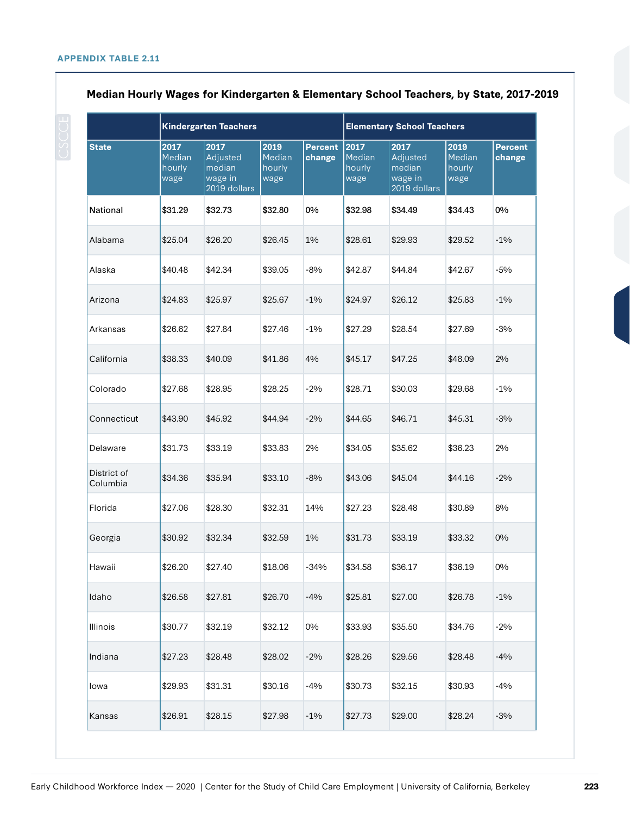|                         | <b>Kindergarten Teachers</b>     |                                                       |                                  |                          | <b>Elementary School Teachers</b> |                                                       |                                  |                          |
|-------------------------|----------------------------------|-------------------------------------------------------|----------------------------------|--------------------------|-----------------------------------|-------------------------------------------------------|----------------------------------|--------------------------|
| <b>State</b>            | 2017<br>Median<br>hourly<br>wage | 2017<br>Adjusted<br>median<br>wage in<br>2019 dollars | 2019<br>Median<br>hourly<br>wage | <b>Percent</b><br>change | 2017<br>Median<br>hourly<br>wage  | 2017<br>Adjusted<br>median<br>wage in<br>2019 dollars | 2019<br>Median<br>hourly<br>wage | <b>Percent</b><br>change |
| <b>National</b>         | \$31.29                          | \$32.73                                               | \$32.80                          | 0%                       | \$32.98                           | \$34.49                                               | \$34.43                          | 0%                       |
| Alabama                 | \$25.04                          | \$26.20                                               | \$26.45                          | 1%                       | \$28.61                           | \$29.93                                               | \$29.52                          | $-1\%$                   |
| Alaska                  | \$40.48                          | \$42.34                                               | \$39.05                          | $-8%$                    | \$42.87                           | \$44.84                                               | \$42.67                          | $-5%$                    |
| Arizona                 | \$24.83                          | \$25.97                                               | \$25.67                          | $-1\%$                   | \$24.97                           | \$26.12                                               | \$25.83                          | $-1\%$                   |
| Arkansas                | \$26.62                          | \$27.84                                               | \$27.46                          | $-1\%$                   | \$27.29                           | \$28.54                                               | \$27.69                          | $-3%$                    |
| California              | \$38.33                          | \$40.09                                               | \$41.86                          | 4%                       | \$45.17                           | \$47.25                                               | \$48.09                          | 2%                       |
| Colorado                | \$27.68                          | \$28.95                                               | \$28.25                          | $-2%$                    | \$28.71                           | \$30.03                                               | \$29.68                          | $-1\%$                   |
| Connecticut             | \$43.90                          | \$45.92                                               | \$44.94                          | $-2%$                    | \$44.65                           | \$46.71                                               | \$45.31                          | $-3%$                    |
| Delaware                | \$31.73                          | \$33.19                                               | \$33.83                          | 2%                       | \$34.05                           | \$35.62                                               | \$36.23                          | 2%                       |
| District of<br>Columbia | \$34.36                          | \$35.94                                               | \$33.10                          | $-8%$                    | \$43.06                           | \$45.04                                               | \$44.16                          | $-2%$                    |
| Florida                 | \$27.06                          | \$28.30                                               | \$32.31                          | 14%                      | \$27.23                           | \$28.48                                               | \$30.89                          | 8%                       |
| Georgia                 | \$30.92                          | \$32.34                                               | \$32.59                          | 1%                       | \$31.73                           | \$33.19                                               | \$33.32                          | $0\%$                    |
| Hawaii                  | \$26.20                          | \$27.40                                               | \$18.06                          | $-34%$                   | \$34.58                           | \$36.17                                               | \$36.19                          | 0%                       |
| Idaho                   | \$26.58                          | \$27.81                                               | \$26.70                          | $-4%$                    | \$25.81                           | \$27.00                                               | \$26.78                          | $-1\%$                   |
| <b>Illinois</b>         | \$30.77                          | \$32.19                                               | \$32.12                          | 0%                       | \$33.93                           | \$35.50                                               | \$34.76                          | $-2\%$                   |
| Indiana                 | \$27.23                          | \$28.48                                               | \$28.02                          | $-2%$                    | \$28.26                           | \$29.56                                               | \$28.48                          | $-4%$                    |
| lowa                    | \$29.93                          | \$31.31                                               | \$30.16                          | $-4%$                    | \$30.73                           | \$32.15                                               | \$30.93                          | $-4%$                    |
| Kansas                  | \$26.91                          | \$28.15                                               | \$27.98                          | $-1\%$                   | \$27.73                           | \$29.00                                               | \$28.24                          | $-3%$                    |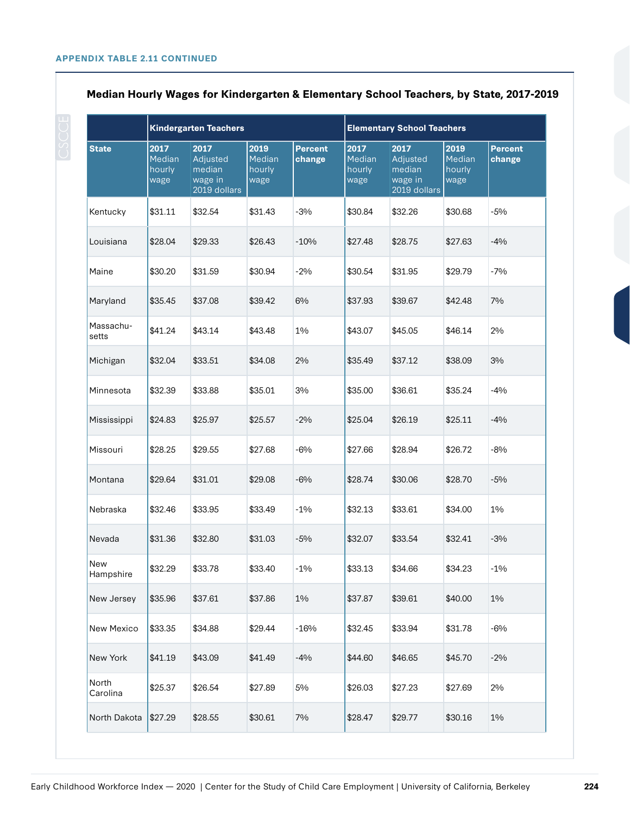|                    | <b>Kindergarten Teachers</b>     |                                                       |                                  |                          | <b>Elementary School Teachers</b> |                                                       |                                  |                   |
|--------------------|----------------------------------|-------------------------------------------------------|----------------------------------|--------------------------|-----------------------------------|-------------------------------------------------------|----------------------------------|-------------------|
| <b>State</b>       | 2017<br>Median<br>hourly<br>wage | 2017<br>Adjusted<br>median<br>wage in<br>2019 dollars | 2019<br>Median<br>hourly<br>wage | <b>Percent</b><br>change | 2017<br>Median<br>hourly<br>wage  | 2017<br>Adjusted<br>median<br>wage in<br>2019 dollars | 2019<br>Median<br>hourly<br>wage | Percent<br>change |
| Kentucky           | \$31.11                          | \$32.54                                               | \$31.43                          | $-3%$                    | \$30.84                           | \$32.26                                               | \$30.68                          | $-5%$             |
| Louisiana          | \$28.04                          | \$29.33                                               | \$26.43                          | $-10%$                   | \$27.48                           | \$28.75                                               | \$27.63                          | $-4%$             |
| Maine              | \$30.20                          | \$31.59                                               | \$30.94                          | $-2%$                    | \$30.54                           | \$31.95                                               | \$29.79                          | $-7%$             |
| Maryland           | \$35.45                          | \$37.08                                               | \$39.42                          | 6%                       | \$37.93                           | \$39.67                                               | \$42.48                          | 7%                |
| Massachu-<br>setts | \$41.24                          | \$43.14                                               | \$43.48                          | 1%                       | \$43.07                           | \$45.05                                               | \$46.14                          | 2%                |
| Michigan           | \$32.04                          | \$33.51                                               | \$34.08                          | 2%                       | \$35.49                           | \$37.12                                               | \$38.09                          | 3%                |
| Minnesota          | \$32.39                          | \$33.88                                               | \$35.01                          | 3%                       | \$35.00                           | \$36.61                                               | \$35.24                          | $-4%$             |
| Mississippi        | \$24.83                          | \$25.97                                               | \$25.57                          | $-2%$                    | \$25.04                           | \$26.19                                               | \$25.11                          | $-4%$             |
| Missouri           | \$28.25                          | \$29.55                                               | \$27.68                          | $-6%$                    | \$27.66                           | \$28.94                                               | \$26.72                          | $-8%$             |
| Montana            | \$29.64                          | \$31.01                                               | \$29.08                          | $-6%$                    | \$28.74                           | \$30.06                                               | \$28.70                          | $-5%$             |
| Nebraska           | \$32.46                          | \$33.95                                               | \$33.49                          | $-1\%$                   | \$32.13                           | \$33.61                                               | \$34.00                          | 1%                |
| Nevada             | \$31.36                          | \$32.80                                               | \$31.03                          | $-5%$                    | \$32.07                           | \$33.54                                               | \$32.41                          | $-3%$             |
| New<br>Hampshire   | \$32.29                          | \$33.78                                               | \$33.40                          | $-1\%$                   | \$33.13                           | \$34.66                                               | \$34.23                          | $-1\%$            |
| New Jersey         | \$35.96                          | \$37.61                                               | \$37.86                          | 1%                       | \$37.87                           | \$39.61                                               | \$40.00                          | 1%                |
| New Mexico         | \$33.35                          | \$34.88                                               | \$29.44                          | $-16%$                   | \$32.45                           | \$33.94                                               | \$31.78                          | $-6%$             |
| New York           | \$41.19                          | \$43.09                                               | \$41.49                          | $-4%$                    | \$44.60                           | \$46.65                                               | \$45.70                          | $-2%$             |
| North<br>Carolina  | \$25.37                          | \$26.54                                               | \$27.89                          | 5%                       | \$26.03                           | \$27.23                                               | \$27.69                          | 2%                |
| North Dakota       | \$27.29                          | \$28.55                                               | \$30.61                          | 7%                       | \$28.47                           | \$29.77                                               | \$30.16                          | 1%                |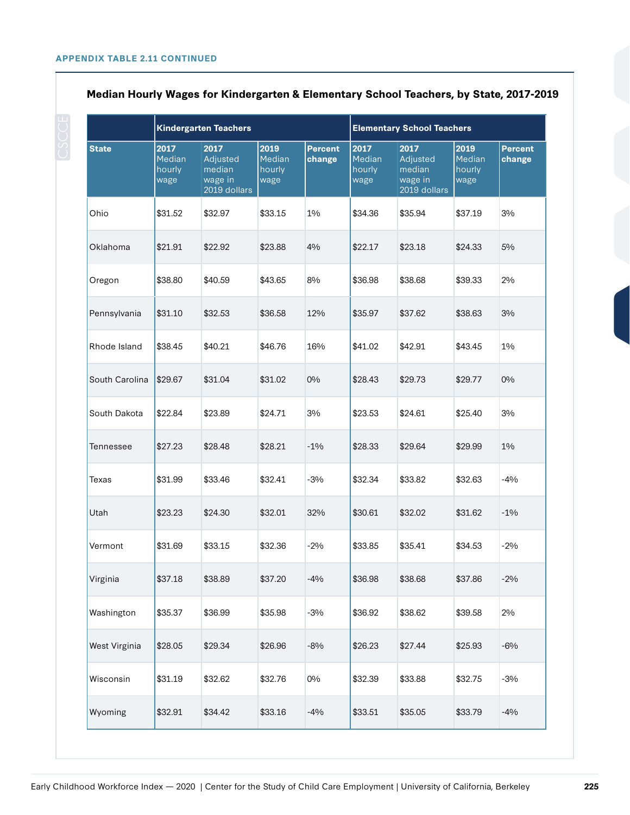|                | <b>Kindergarten Teachers</b>     |                                                       |                                  |                          | <b>Elementary School Teachers</b> |                                                       |                                  |                          |
|----------------|----------------------------------|-------------------------------------------------------|----------------------------------|--------------------------|-----------------------------------|-------------------------------------------------------|----------------------------------|--------------------------|
| <b>State</b>   | 2017<br>Median<br>hourly<br>wage | 2017<br>Adjusted<br>median<br>wage in<br>2019 dollars | 2019<br>Median<br>hourly<br>wage | <b>Percent</b><br>change | 2017<br>Median<br>hourly<br>wage  | 2017<br>Adjusted<br>median<br>wage in<br>2019 dollars | 2019<br>Median<br>hourly<br>wage | <b>Percent</b><br>change |
| Ohio           | \$31.52                          | \$32.97                                               | \$33.15                          | 1%                       | \$34.36                           | \$35.94                                               | \$37.19                          | 3%                       |
| Oklahoma       | \$21.91                          | \$22.92                                               | \$23.88                          | 4%                       | \$22.17                           | \$23.18                                               | \$24.33                          | 5%                       |
| Oregon         | \$38.80                          | \$40.59                                               | \$43.65                          | 8%                       | \$36.98                           | \$38.68                                               | \$39.33                          | 2%                       |
| Pennsylvania   | \$31.10                          | \$32.53                                               | \$36.58                          | 12%                      | \$35.97                           | \$37.62                                               | \$38.63                          | 3%                       |
| Rhode Island   | \$38.45                          | \$40.21                                               | \$46.76                          | 16%                      | \$41.02                           | \$42.91                                               | \$43.45                          | 1%                       |
| South Carolina | \$29.67                          | \$31.04                                               | \$31.02                          | 0%                       | \$28.43                           | \$29.73                                               | \$29.77                          | 0%                       |
| South Dakota   | \$22.84                          | \$23.89                                               | \$24.71                          | 3%                       | \$23.53                           | \$24.61                                               | \$25.40                          | 3%                       |
| Tennessee      | \$27.23                          | \$28.48                                               | \$28.21                          | $-1\%$                   | \$28.33                           | \$29.64                                               | \$29.99                          | 1%                       |
| Texas          | \$31.99                          | \$33.46                                               | \$32.41                          | $-3%$                    | \$32.34                           | \$33.82                                               | \$32.63                          | $-4%$                    |
| Utah           | \$23.23                          | \$24.30                                               | \$32.01                          | 32%                      | \$30.61                           | \$32.02                                               | \$31.62                          | $-1\%$                   |
| Vermont        | \$31.69                          | \$33.15                                               | \$32.36                          | $-2%$                    | \$33.85                           | \$35.41                                               | \$34.53                          | $-2%$                    |
| Virginia       | \$37.18                          | \$38.89                                               | \$37.20                          | $-4%$                    | \$36.98                           | \$38.68                                               | \$37.86                          | $-2\%$                   |
| Washington     | \$35.37                          | \$36.99                                               | \$35.98                          | $-3%$                    | \$36.92                           | \$38.62                                               | \$39.58                          | 2%                       |
| West Virginia  | \$28.05                          | \$29.34                                               | \$26.96                          | $-8%$                    | \$26.23                           | \$27.44                                               | \$25.93                          | $-6\%$                   |
| Wisconsin      | \$31.19                          | \$32.62                                               | \$32.76                          | $0\%$                    | \$32.39                           | \$33.88                                               | \$32.75                          | $-3%$                    |
| Wyoming        | \$32.91                          | \$34.42                                               | \$33.16                          | $-4%$                    | \$33.51                           | \$35.05                                               | \$33.79                          | $-4%$                    |